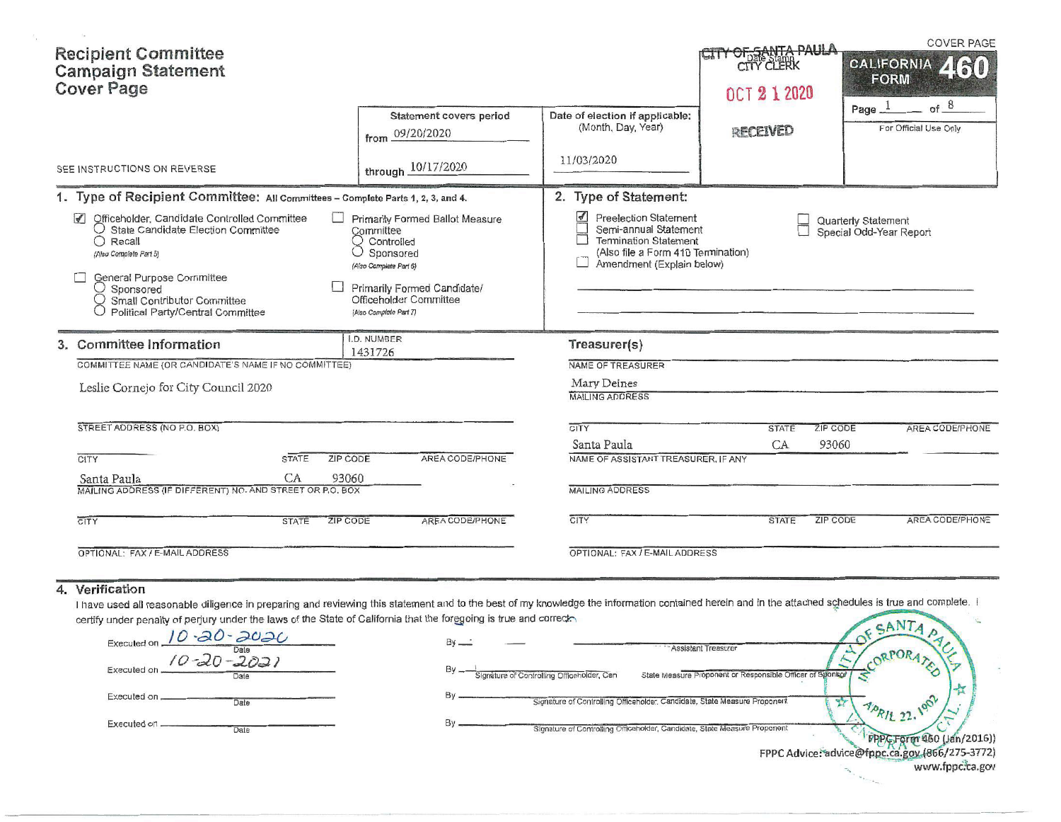| <b>Recipient Committee</b><br><b>Campaign Statement</b><br><b>Cover Page</b><br>SEE INSTRUCTIONS ON REVERSE                                                                                                                                                                                                                                           |              |                 | from 09/20/2020<br>through 10/17/2020                                                                              | Statement covers period                                        | Date of election if applicable:<br>(Month, Day, Year)<br>11/03/2020                                                                                                                                 | OF SANTA PAULA<br>CITY CLERK<br><b>OCT 2 1 2020</b><br><b>RECEIVED</b> |                 | <b>COVER PAGE</b><br>CALIFORNIA 460<br><b>FORM</b><br>of <sup>8</sup><br>Page $\frac{1}{2}$<br>For Official Use Only |
|-------------------------------------------------------------------------------------------------------------------------------------------------------------------------------------------------------------------------------------------------------------------------------------------------------------------------------------------------------|--------------|-----------------|--------------------------------------------------------------------------------------------------------------------|----------------------------------------------------------------|-----------------------------------------------------------------------------------------------------------------------------------------------------------------------------------------------------|------------------------------------------------------------------------|-----------------|----------------------------------------------------------------------------------------------------------------------|
| 1. Type of Recipient Committee: All Committees - Complete Parts 1, 2, 3, and 4.<br>Officeholder, Candidate Controlled Committee<br>$\overline{f}$<br>○ State Candidate Election Committee<br>$\bigcap$ Recall<br>(Also Complete Part 5)<br>General Purpose Committee<br>Sponsored<br>Small Contributor Committee<br>Political Party/Central Committee |              |                 | Committee<br>Controlled<br>Sponsored<br>(Also Complete Part 6)<br>Officeholder Committee<br>(Also Complete Part 7) | Primarily Formed Ballot Measure<br>Primarily Formed Candidate/ | 2. Type of Statement:<br>$\overline{a}$<br><b>Preelection Statement</b><br>Semi-annual Statement<br><b>Termination Statement</b><br>(Also file a Form 410 Termination)<br>Amendment (Explain below) |                                                                        |                 | Quarterly Statement<br>Special Odd-Year Report                                                                       |
| 3. Committee Information                                                                                                                                                                                                                                                                                                                              |              |                 | I.D. NUMBER<br>1431726                                                                                             |                                                                | Treasurer(s)                                                                                                                                                                                        |                                                                        |                 |                                                                                                                      |
| COMMITTEE NAME (OR CANDIDATE'S NAME IF NO COMMITTEE)<br>Leslie Cornejo for City Council 2020                                                                                                                                                                                                                                                          |              |                 |                                                                                                                    |                                                                | NAME OF TREASURER<br>Mary Deines<br><b>MAILING ADDRESS</b>                                                                                                                                          |                                                                        |                 |                                                                                                                      |
| STREET ADDRESS (NO P.O. BOX)                                                                                                                                                                                                                                                                                                                          |              |                 |                                                                                                                    |                                                                | CITY                                                                                                                                                                                                | <b>STATE</b>                                                           | ZIP CODE        | AREA CODE/PHONE                                                                                                      |
|                                                                                                                                                                                                                                                                                                                                                       | <b>STATE</b> | ZIP CODE        |                                                                                                                    | AREA CODE/PHONE                                                | Santa Paula<br>NAME OF ASSISTANT TREASURER, IF ANY                                                                                                                                                  | CA                                                                     | 93060           |                                                                                                                      |
| CITY<br>Santa Paula                                                                                                                                                                                                                                                                                                                                   | CA           | 93060           |                                                                                                                    |                                                                |                                                                                                                                                                                                     |                                                                        |                 |                                                                                                                      |
| MAILING ADDRESS (IF DIFFERENT) NO. AND STREET OR P.O. BOX                                                                                                                                                                                                                                                                                             |              |                 |                                                                                                                    |                                                                | MAILING ADDRESS                                                                                                                                                                                     |                                                                        |                 |                                                                                                                      |
| CITY                                                                                                                                                                                                                                                                                                                                                  | <b>STATE</b> | <b>ZIP CODE</b> |                                                                                                                    | AREA CODE/PHONE                                                | CITY                                                                                                                                                                                                | <b>STATE</b>                                                           | <b>ZIP CODE</b> | AREA CODE/PHONE                                                                                                      |
| OPTIONAL: FAX / E-MAIL ADDRESS                                                                                                                                                                                                                                                                                                                        |              |                 |                                                                                                                    |                                                                | OPTIONAL: FAX / E-MAIL ADDRESS                                                                                                                                                                      |                                                                        |                 |                                                                                                                      |
| 4. Verification                                                                                                                                                                                                                                                                                                                                       |              |                 |                                                                                                                    |                                                                |                                                                                                                                                                                                     |                                                                        |                 |                                                                                                                      |

4. Verification<br>I have used all reasonable diligence in preparing and reviewing this statement and to the best of my knowledge the information contained herein and in the attached schedules is true and complete. certify under penalty of perjury under the laws of the State of California that the foregoing is true and correcte

|                                                                        | $By -$<br>Assistant Treasurer                                                                           |
|------------------------------------------------------------------------|---------------------------------------------------------------------------------------------------------|
| Executed on 10 - 20 - 20 20<br>10 - 20 - 20 21<br>Executed on.<br>Date | State Measure Proponent or Responsible Officer of Sponkor<br>Signature of Controlling Officeholder, Can |
| Executed on.<br>Date                                                   | B١<br>Signature of Controlling Officeholder, Candidate, State Measure Proponent                         |
| Executed on<br>Date                                                    | Signature of Controlling Officeholder, Candidate, State Measure Proponent<br>FPPGForm 460 (Jan/2016))   |
|                                                                        | FPPC Advice: advice@fppc.ca.gov.(866/275-3772)                                                          |
|                                                                        | www.fppc.ca.gov                                                                                         |
|                                                                        |                                                                                                         |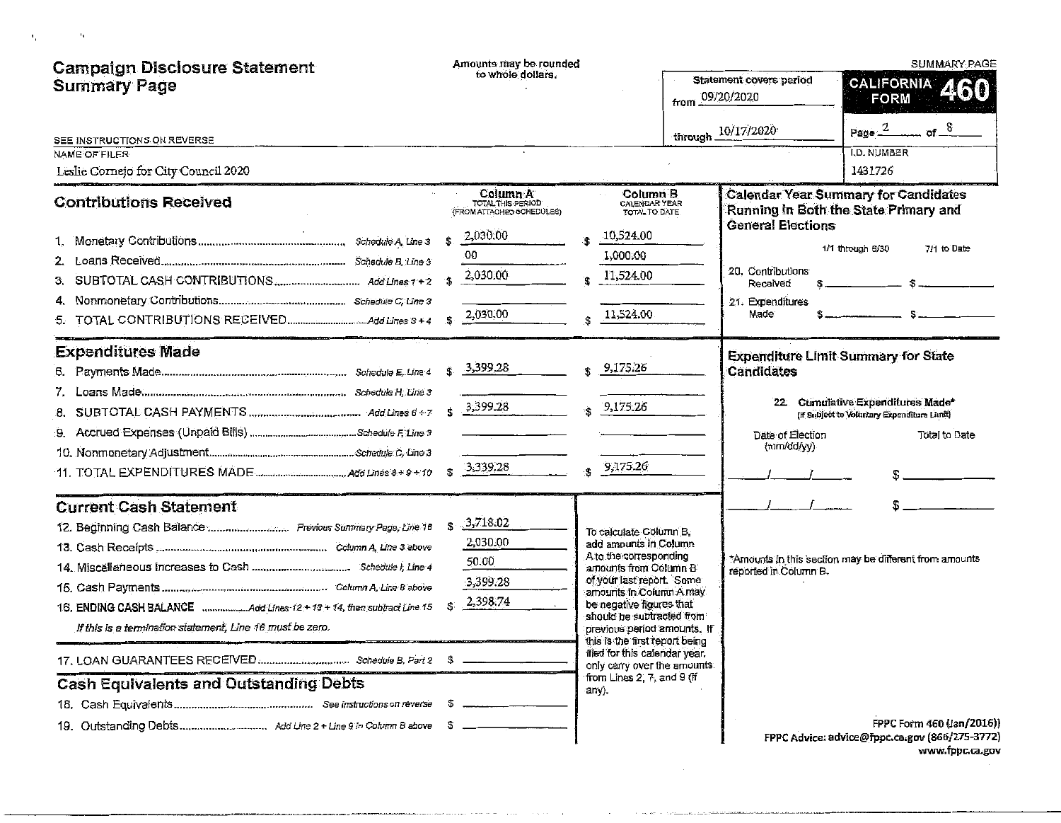| <b>Campaign Disclosure Statement</b>                                                                                                                                                                      |                     | Amounts may be rounded                                     |              |                                                                                                                                                                                                                                                                                                                                                                                              |                                                                                       | SUMMARY PAGE                                                                         |
|-----------------------------------------------------------------------------------------------------------------------------------------------------------------------------------------------------------|---------------------|------------------------------------------------------------|--------------|----------------------------------------------------------------------------------------------------------------------------------------------------------------------------------------------------------------------------------------------------------------------------------------------------------------------------------------------------------------------------------------------|---------------------------------------------------------------------------------------|--------------------------------------------------------------------------------------|
| <b>Summary Page</b>                                                                                                                                                                                       |                     | to whole dollars.<br>from 09/20/2020                       |              |                                                                                                                                                                                                                                                                                                                                                                                              | Statement covers period                                                               | CALIFORNIA 460<br><b>FORM</b>                                                        |
| SEE INSTRUCTIONS ON REVERSE                                                                                                                                                                               |                     |                                                            |              |                                                                                                                                                                                                                                                                                                                                                                                              | through 10/17/2020                                                                    | $\sigma$ f $\sim$ $8$<br>Page $^2$<br><b>LD. NUMBER</b>                              |
| NAME OF FILER<br>Leslie Cornejo for City Council 2020                                                                                                                                                     |                     |                                                            |              |                                                                                                                                                                                                                                                                                                                                                                                              |                                                                                       | 1431726                                                                              |
| <b>Contributions Received</b>                                                                                                                                                                             |                     | Column A<br>TOTAL THIS PERIOD<br>(FROM ATTACHED SCHEDULES) |              | Column B<br><b>CALENDAR YEAR</b><br>TOTAL TO DATE.                                                                                                                                                                                                                                                                                                                                           |                                                                                       | <b>Calendar Year Summary for Candidates</b><br>Running in Both the State Primary and |
| 2.<br>З.                                                                                                                                                                                                  | \$<br>-\$           | 2,030.00<br>o٥<br>2,030.00<br>2,030.00                     | Ś.<br>¢      | 10,524.00<br>1,000.00<br>11,524.00<br>11,524.00                                                                                                                                                                                                                                                                                                                                              | <b>General Elections</b><br>20. Contributions<br>Received<br>21. Expenditures<br>Made | 7/1 to Date<br>1/1 through 6/30<br>$s \sim$ $s \sim$                                 |
| <b>Expenditures Made</b>                                                                                                                                                                                  |                     | 3,399.28                                                   | $\mathbf{R}$ | 9,175.26                                                                                                                                                                                                                                                                                                                                                                                     | Candidates                                                                            | <b>Expenditure Limit Summary for State</b><br>22 Cumulative Expenditures Made*       |
|                                                                                                                                                                                                           | \$.                 | 3,399.28                                                   |              | $\frac{1}{3}$ 9,175.26                                                                                                                                                                                                                                                                                                                                                                       | Date of Election<br>(mm/dd/vy)                                                        | (If Subject to Voluntary Expenditure Limit)<br>Total to Date                         |
|                                                                                                                                                                                                           | $\mathbb{S}$        | 3,339.28                                                   |              | \$9,175.26                                                                                                                                                                                                                                                                                                                                                                                   |                                                                                       | $\mathbb{S}$ .                                                                       |
| <b>Current Cash Statement</b><br>12. Beginning Cash Balance  Previous Summary Page, Line 18<br>If this is a termination statement, Line 16 must be zero.<br><b>Cash Equivalents and Outstanding Debts</b> | S.<br>$\mathcal{F}$ | 3,718.02<br>2,030.00<br>50.00<br>3,399.28<br>2,398.74      |              | To calculate Column B.<br>add amounts in Column<br>A to the corresponding<br>amounts from Column B<br>of your last report. Some<br>amounts in Column A may<br>be negative figures that<br>should be subtracted from<br>previous period amounts. If<br>this is the first report being<br>filed for this calendar year.<br>only carry over the amounts.<br>from Lines 2, 7, and 9 (if<br>any). | reported in Column B.                                                                 | *Amounts in this section may be different from amounts                               |
|                                                                                                                                                                                                           |                     |                                                            |              |                                                                                                                                                                                                                                                                                                                                                                                              |                                                                                       | FPPC Form 460 (Jan/2016))<br>FPPC Advice: advice@fooc.ca.gov (866/275-3772)          |

.<br>Martin de la filma de la companya de la filma de la filma de la filma de

 $\sim 10^{-10}$  eV

 $\mathbf{v}_\mathrm{eff}$ 

www.tppc.ca.gov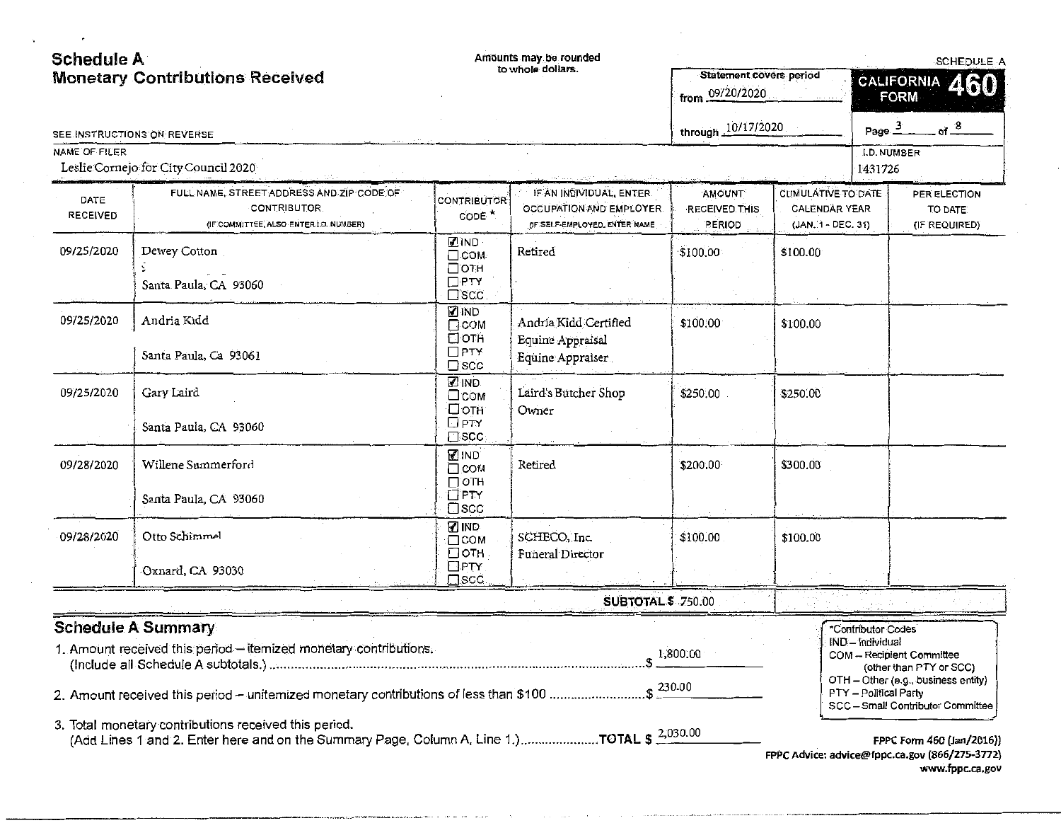| <b>Schedule A</b>       |                                                                                                                                                                                     |                                                                  | Amounts may be rounded<br>to whole dollars.                                           |                                                                         |                                                                         | SCHEDULE A                                                              |                                                                                                                                  |
|-------------------------|-------------------------------------------------------------------------------------------------------------------------------------------------------------------------------------|------------------------------------------------------------------|---------------------------------------------------------------------------------------|-------------------------------------------------------------------------|-------------------------------------------------------------------------|-------------------------------------------------------------------------|----------------------------------------------------------------------------------------------------------------------------------|
|                         | <b>Monetary Contributions Received</b>                                                                                                                                              |                                                                  |                                                                                       | <b>Statement covers period</b><br>from 09/20/2020<br>through 10/17/2020 |                                                                         | CALIFORNIA 460<br><b>FORM</b><br>of $\frac{8}{5}$<br>Page $\frac{3}{2}$ |                                                                                                                                  |
|                         | SEE INSTRUCTIONS ON REVERSE                                                                                                                                                         |                                                                  |                                                                                       |                                                                         |                                                                         |                                                                         |                                                                                                                                  |
| NAME OF FILER           | Leslie Cornejo for City Council 2020                                                                                                                                                |                                                                  |                                                                                       |                                                                         |                                                                         | I.D. NUMBER<br>1431726                                                  |                                                                                                                                  |
| DATE<br><b>RECEIVED</b> | FULL NAME, STREET ADDRESS AND ZIP CODE OF<br><b>CONTRIBUTOR:</b><br>(IF COMMITTEE, ALSO ENTER I.D. NUMBER)                                                                          | <b>CONTRIBUTOR</b><br>CODE <sup>*</sup>                          | IF AN INDIVIDUAL, ENTER.<br>OCCUPATION AND EMPLOYER.<br>(IF SELF-EMPLOYED, ENTER NAME | <b>AMOUNT</b><br>RECEIVED THIS<br>PERIOD                                | <b>CUMULATIVE TO DATE</b><br><b>CALENDAR YEAR</b><br>(JAN. 1 - DEC. 31) |                                                                         | PER ELECTION<br>TO DATE:<br>(IF REQUIRED)                                                                                        |
| 09/25/2020              | Dewey Cotton<br>Santa Paula, CA 93060                                                                                                                                               | <b>VIND</b><br>$\Box$ COM<br>□отн<br>$\Box$ PTY<br>$\square$ scc | Retired                                                                               | \$100.00                                                                | \$100.00                                                                |                                                                         |                                                                                                                                  |
| 09/25/2020              | Andria Kidd<br>Santa Paula, Ca 93061                                                                                                                                                | <b>ZIND</b><br>$\Box$ COM<br>⊡отн<br>$\Box$ PTY<br>$\square$ scc | Andria Kidd Certified<br>Equine Appraisal<br>Equine Appraiser                         | \$100.00                                                                | \$100.00                                                                |                                                                         |                                                                                                                                  |
| 09/25/2020              | Gary Laird<br>Santa Paula, CA 93060                                                                                                                                                 | <b>ZIND</b><br>□сом<br>Πотн<br>OPTY<br>$\square$ scc             | Laird's Butcher Shop<br>Owner                                                         | \$250.00                                                                | \$250.00                                                                |                                                                         |                                                                                                                                  |
| 09/28/2020              | Willene Summerford<br>Santa Paula, CA 93060                                                                                                                                         | <b>ZIND</b><br>$\Box$ COM<br>Потн<br>$\Box$ PTY<br>$\square$ scc | Retired                                                                               | \$200.00                                                                | \$300.00                                                                |                                                                         |                                                                                                                                  |
| 09/28/2020              | Otto Schimmel<br>Oxnard, CA 93030                                                                                                                                                   | <b>ZIND</b><br>⊡сом<br>⊟отн<br>$\Box$ PTY<br>$\square$ scc       | SCHECO, Inc.<br>Funeral Director                                                      | \$100.00                                                                | \$100.00                                                                |                                                                         |                                                                                                                                  |
|                         |                                                                                                                                                                                     |                                                                  | <b>SUBTOTAL \$ 750.00</b>                                                             |                                                                         |                                                                         |                                                                         |                                                                                                                                  |
|                         | Schedule A Summary<br>1. Amount received this period - itemized monetary contributions.<br>2. Amount received this period - unitemized monetary contributions of less than \$100 \$ |                                                                  |                                                                                       | 1,800.00                                                                |                                                                         | *Contributor Codes<br>IND - Individual<br>PTY - Political Party         | COM - Recipient Committee<br>(other than PTY or SCC)<br>OTH - Other (e.g., business entity)<br>SCC - Small Contributor Committee |
|                         | 3. Total monetary contributions received this period.<br>(Add Lines 1 and 2. Enter here and on the Summary Page, Column A, Line 1.)TOTAL \$ 2,030.00                                |                                                                  |                                                                                       |                                                                         |                                                                         |                                                                         | FPPC Form 460 (Jan/2016))<br>FPPC Advice: advice@fppc.ca.gov (866/275-3772)<br>www.fppc.ca.gov                                   |

 $\mathcal{L}(\mathcal{L})$  . Then

contract and an

 $\label{eq:1.1} \begin{split} \mathcal{L}_{\text{G}}(x,y) &= \mathcal{L}_{\text{G}}(x,y) + \mathcal{L}_{\text{G}}(x,y) + \mathcal{L}_{\text{G}}(x,y) + \mathcal{L}_{\text{G}}(x,y) + \mathcal{L}_{\text{G}}(x,y) + \mathcal{L}_{\text{G}}(x,y) + \mathcal{L}_{\text{G}}(x,y) + \mathcal{L}_{\text{G}}(x,y) + \mathcal{L}_{\text{G}}(x,y) + \mathcal{L}_{\text{G}}(x,y) + \mathcal{L}_{\text{G}}(x,y) + \mathcal{L}_{\text{G}}(x,y$ 

.<br>In a shealth which is a mortal of the contract of the final state of the self and which the contract of the same of the contract of the state

 $\mathcal{L}(\mathcal{L})$  and  $\mathcal{L}(\mathcal{L})$  . In the  $\mathcal{L}(\mathcal{L})$ 

 $\mathbf{v}^{\prime}$ 

 $\sim$   $\sim$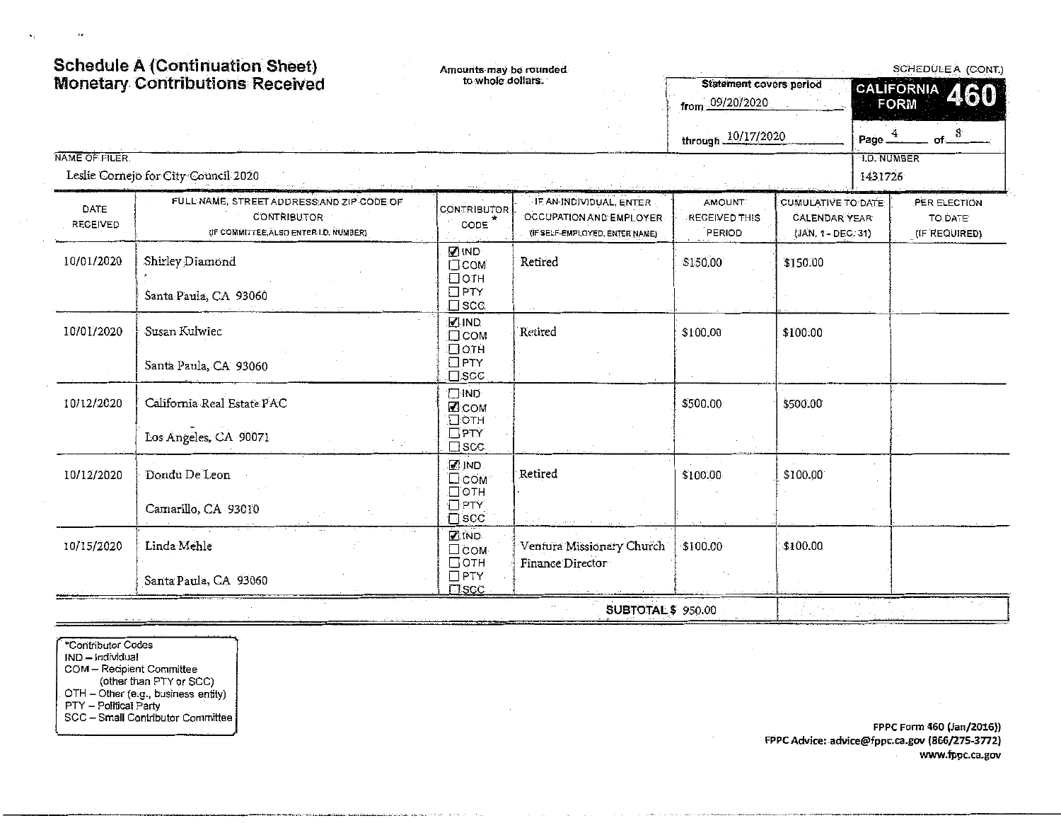|                         | <b>Schedule A (Continuation Sheet)</b><br><b>Monetary Contributions Received</b>                          | Amounts may be rounded<br>to whole dollars.                              |                                                                                      | Statement covers period<br>from 09/20/2020<br>through 10/17/2020 |                                                                   | <b>CALIFORNIA</b><br><b>FORM</b><br>Page $4$ | SCHEDULEA (CONT.)<br><b>460</b><br>of $8$ |
|-------------------------|-----------------------------------------------------------------------------------------------------------|--------------------------------------------------------------------------|--------------------------------------------------------------------------------------|------------------------------------------------------------------|-------------------------------------------------------------------|----------------------------------------------|-------------------------------------------|
| NAME OF FILER.          | Leslie Cornejo for City Council 2020                                                                      |                                                                          |                                                                                      |                                                                  |                                                                   | <b>I.D. NUMBER</b><br>1431726                |                                           |
| DATE<br><b>RECEIVED</b> | FULL NAME, STREET ADDRESS AND ZIP CODE OF<br><b>CONTRIBUTOR</b><br>(IF COMMITTEE, ALSO ENTER I.D. NUMBER) | <b>CONTRIBUTOR</b><br>CODE                                               | IF AN INDIVIDUAL, ENTER<br>OCCUPATION AND EMPLOYER<br>(IF SELF-EMPLOYED, ENTER NAME) | <b>AMOUNT</b><br><b>RECEIVED THIS</b><br>PERIOD                  | CUMULATIVE TO DATE<br><b>CALENDAR YEAR:</b><br>(JAN. 1 - DEC. 31) |                                              | PER ELECTION<br>TO DATE<br>(IF REQUIRED)  |
| 10/01/2020              | Shirley Diamond<br>Santa Paula, CA 93060                                                                  | Z IND<br>$\Box$ COM<br>⊡отн<br>$\Box$ PTY<br>$\square$ scc.              | Retired                                                                              | \$150,00                                                         | \$150.00                                                          |                                              |                                           |
| 10/01/2020              | Susan Kulwiec<br>Santa Paula, CA 93060                                                                    | $\blacksquare$ IND.<br>$\Box$ COM<br>⊡отн<br>$\Box$ PTY<br>$\square$ scc | Retired                                                                              | \$100.00                                                         | \$100.00                                                          |                                              |                                           |
| 10/12/2020              | California Real Estate PAC<br>Los Angeles, CA 90071                                                       | <b>DIND</b><br><b>Z</b> COM<br>□отн<br>$\square$ PTY<br>$\square$ scc    |                                                                                      | \$500.00                                                         | \$500.00                                                          |                                              |                                           |
| 10/12/2020              | Dondu De Leon<br>Camarillo, CA 93010                                                                      | <b>ZIND</b><br>⊡сом<br>⊡отн<br>$\Box$ PTY<br>$\square$ scc               | Retired                                                                              | \$100.00                                                         | \$100.00                                                          |                                              |                                           |
| 10/15/2020              | Linda Mehle<br>Santa Paula, CA 93060                                                                      | O IND.<br>$\Box$ COM<br>□отн<br>$\Box$ PTY<br>$\square$ SCC              | Ventura Missionary Church<br>Finance Director                                        | \$100.00                                                         | \$100.00                                                          |                                              |                                           |
|                         |                                                                                                           |                                                                          | <b>SUBTOTAL \$ 950.00</b>                                                            |                                                                  |                                                                   |                                              |                                           |

\*Contributor Codes IND - Individual COM - Recipient Committee (other than PTY or SCC) OTH - Other (e.g., business entity)<br>PTY - Political Party SCC - Small Contributor Committee

FPPC Form 460 (Jan/2016)) FPPC Advice: advice@fppc.ca.gov (866/275-3772) www.fppc.ca.gov

 $\sim$ 

 $\mathbf{A}_{\mathbf{r}}$ 

 $\mathcal{L}_{\mathbf{C}}$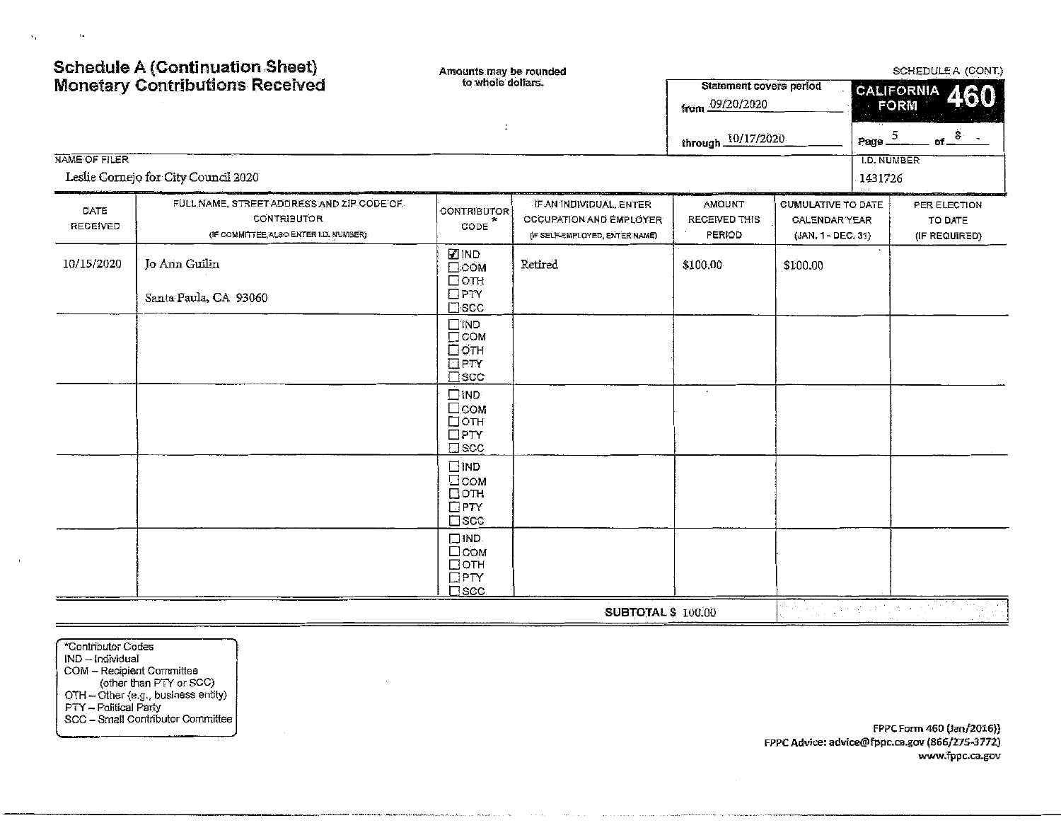|                  | <b>Schedule A (Continuation Sheet)</b><br><b>Monetary Contributions Received</b>                    | Amounts may be rounded<br>to whole dollars.                                      |                                                                                             | Statement covers period<br>from 09/20/2020 |                                                                  | SCHEDULE A (CONT.)<br>CALIFORNIA 460<br><b>FORM</b><br>of $8 -$<br>Page $\frac{5}{2}$ |                                          |
|------------------|-----------------------------------------------------------------------------------------------------|----------------------------------------------------------------------------------|---------------------------------------------------------------------------------------------|--------------------------------------------|------------------------------------------------------------------|---------------------------------------------------------------------------------------|------------------------------------------|
| NAME OF FILER    | Leslie Cornejo for City Council 2020                                                                |                                                                                  |                                                                                             | through 10/17/2020                         |                                                                  | <b>I.D. NUMBER</b><br>1431726                                                         |                                          |
| DATE<br>RECEIVED | FULL NAME, STREET ADDRESS AND ZIP CODE OF.<br>CONTRIBUTOR<br>(IF COMMITTEE, ALSO ENTER I.D. NUMBER) | CONTRIBUTOR<br>CODE                                                              | <b>IF AN INDIVIDUAL, ENTER</b><br>OCCUPATION AND EMPLOYER<br>(IF SELF-EMPLOYED, ENTER NAME) | AMOUNT<br>RECEIVED THIS<br>PERIOD          | CUMULATIVE TO DATE<br><b>CALENDAR YEAR</b><br>(JAN, 1 - DEC. 31) |                                                                                       | PER ELECTION<br>TO DATE<br>(IF REQUIRED) |
| 10/15/2020       | Jo Ann Guilin<br>Santa Paula, CA 93060                                                              | <b>ZIND</b><br>$\Box$ com<br>$\Box$ one<br>$\Box$ PTY<br>$\square$ scc           | Retired                                                                                     | \$100.00                                   | \$100.00                                                         |                                                                                       |                                          |
|                  |                                                                                                     | $\square$ IND<br>$\Box$ COM<br>⊡отн<br>$\Box$ PTY<br>$\square$ scc               |                                                                                             |                                            |                                                                  |                                                                                       |                                          |
|                  |                                                                                                     | $\square$ IND<br>$\square$ <sub>COM</sub><br>□отн<br>$\Box$ PTY<br>$\square$ scc |                                                                                             | $\cdot$                                    |                                                                  |                                                                                       |                                          |
|                  |                                                                                                     | $\square$ IND<br>□сом<br>□отн<br>$\Box$ PTY<br>$\square$ scc                     |                                                                                             |                                            |                                                                  |                                                                                       |                                          |
|                  |                                                                                                     | $\square$ IND.<br>$\Box$ COM<br>□отн<br>$\Box$ PTY<br>$\square$ scc              |                                                                                             |                                            |                                                                  |                                                                                       |                                          |
|                  |                                                                                                     |                                                                                  | SUBTOTAL \$ 100.00                                                                          |                                            |                                                                  |                                                                                       |                                          |

\*Contributor Codes  $ID - Individual$ COM - Recipient Committee (other than PTY or SCC) OTH - Other {e.g., business entity) PTY - Pofitical Party SCC - SmaU Contributor Committee

 $\epsilon$  .

 $\mathbf{v}_\mathrm{A}$  .

FPPC Fonn 460 {Jan/2016)) FPPC Advice: advice@fppc.ca.gov (866/275-3772) www.fppc.ca.gov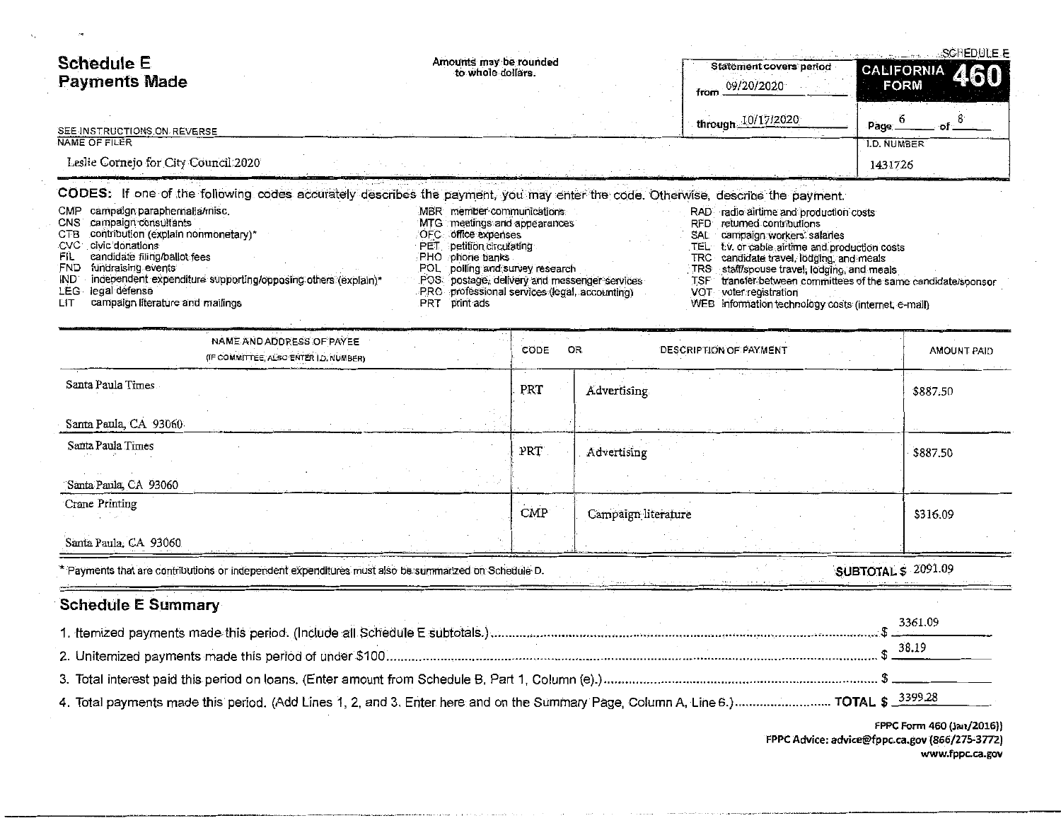|                                                                                                                                                                                                                                                                                                                      |                                                                                                                                                                                                                                                                                                  | SCHEDULE E                                                                                                                                                                                                                                                                                                   |                                                           |  |  |  |
|----------------------------------------------------------------------------------------------------------------------------------------------------------------------------------------------------------------------------------------------------------------------------------------------------------------------|--------------------------------------------------------------------------------------------------------------------------------------------------------------------------------------------------------------------------------------------------------------------------------------------------|--------------------------------------------------------------------------------------------------------------------------------------------------------------------------------------------------------------------------------------------------------------------------------------------------------------|-----------------------------------------------------------|--|--|--|
| <b>Schedule E</b><br><b>Payments Made</b>                                                                                                                                                                                                                                                                            | Amounts may be rounded<br>to whole dollars.                                                                                                                                                                                                                                                      | Statement covers period<br>09/20/2020<br>from                                                                                                                                                                                                                                                                | <b>CALIFORNIA</b><br>FORM                                 |  |  |  |
| SEE INSTRUCTIONS ON REVERSE<br><b>NAME OF FILER</b>                                                                                                                                                                                                                                                                  |                                                                                                                                                                                                                                                                                                  | through 10/17/2020                                                                                                                                                                                                                                                                                           | Page<br><b>I.D. NUMBER</b>                                |  |  |  |
| Leslie Cornejo for City Council 2020                                                                                                                                                                                                                                                                                 |                                                                                                                                                                                                                                                                                                  |                                                                                                                                                                                                                                                                                                              | 1431726                                                   |  |  |  |
|                                                                                                                                                                                                                                                                                                                      | CODES: If one of the following codes accurately describes the payment, you may enter the code. Otherwise, describe the payment.                                                                                                                                                                  |                                                                                                                                                                                                                                                                                                              |                                                           |  |  |  |
| campaign paraphernalia/misc.<br><b>CMP</b><br>campaign consultants<br>CNS<br>contribution (explain nonmonetary)*<br>CTB<br>CVC.<br>civic donations<br>candidate filing/ballot fees<br>FIL<br>fundraising events<br>FND<br>independent expenditure supporting/opposing others (explain)*<br>IND.<br>LEG legal defense | MBR member communications<br>MTG meetings and appearances<br>office experises<br>OFC.<br>petition circulating<br>PЕT<br><b>PHO</b><br>phone banks<br>polling and survey research<br>POL<br>postage, delivery and messenger services<br>POS.<br>professional services (legal, accounting)<br>PRO- | radio airtime and production costs<br>RAD.<br>RFD.<br>returned contributions<br>campaign workers' salaries<br>SAL<br>TEL<br>t.v. or cable airtime and production costs<br>TRC-<br>candidate travel, lodging, and meals<br>TRS<br>staff/spouse travel, lodging, and meals<br>TSF<br>VOT<br>voter registration | transfer between committees of the same candidate/sponsor |  |  |  |

PRT print ads

 $ET$ campaign literature and mailings

|                           | NAME AND ADDRESS OF PAYEE<br>(IF COMMITTEE, ALSO ENTER I.D. NUMBER)                                | CODE       | OR.<br>DESCRIPTION OF PAYMENT | AMOUNT PAID         |
|---------------------------|----------------------------------------------------------------------------------------------------|------------|-------------------------------|---------------------|
| Santa Paula Times         |                                                                                                    | PRT        | <b>Advertising</b>            | \$887.50            |
| Santa Paula, CA 93060     |                                                                                                    |            |                               |                     |
| Santa Paula Times         |                                                                                                    | PRT.       | Advertising                   | \$887.50            |
| Santa Paula, CA 93060     |                                                                                                    |            |                               |                     |
| Crane Printing            |                                                                                                    | <b>CMP</b> | Campaign literature           | \$316.09            |
| Santa Paula, CA 93060     |                                                                                                    |            |                               |                     |
|                           | Payments that are contributions or independent expenditures must also be summarized on Schedule D. |            |                               | SUBTOTAL \$ 2091 09 |
| <b>Schedule E Summary</b> |                                                                                                    |            |                               |                     |
|                           |                                                                                                    |            |                               | 3361.09             |
|                           |                                                                                                    |            |                               | 38.19               |

4. Total payments made this period. (Add Lines 1, 2, and 3. Enter here and on the Summary Page, Column A, Line 6.).............................. TOTAL \$ 3399.28

FPPC Form 460 (Jan/2016)) FPPC Advice: advice@fppc.ca.gov (866/275-3772) www.fppc.ca.gov

WEB Information technology costs (internet, e-mail)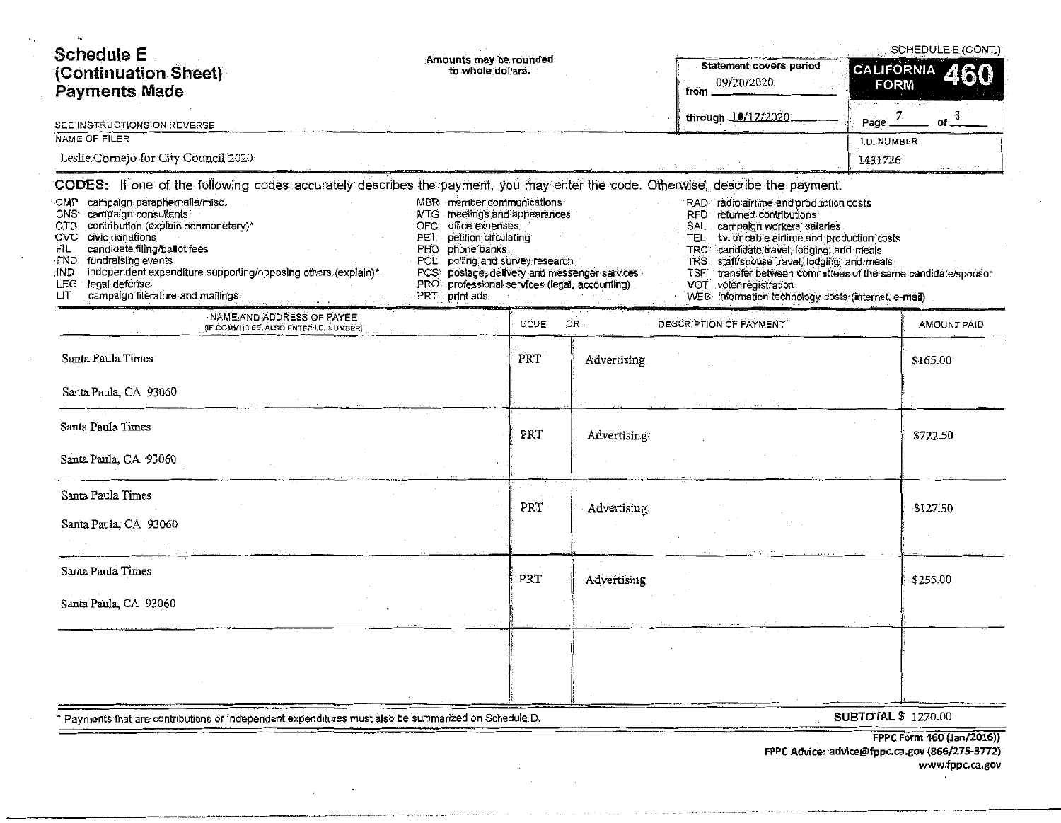| <b>Schedule E</b><br>(Continuation Sheet)<br><b>Payments Made</b>                                                                                                                                                                                                                                                                                                                                                                                                                                | Amounts may be rounded<br>to whole dollars.                                                                                                                                                                                                                        |      |                                          | Statement covers period<br>09/20/2020<br>11.<br>from _                                                                                                                                                                                                                                                                                                          | SCHEDULE E (CONT.)<br><b>CALIFORNIA</b><br><b>FORM</b>    |  |
|--------------------------------------------------------------------------------------------------------------------------------------------------------------------------------------------------------------------------------------------------------------------------------------------------------------------------------------------------------------------------------------------------------------------------------------------------------------------------------------------------|--------------------------------------------------------------------------------------------------------------------------------------------------------------------------------------------------------------------------------------------------------------------|------|------------------------------------------|-----------------------------------------------------------------------------------------------------------------------------------------------------------------------------------------------------------------------------------------------------------------------------------------------------------------------------------------------------------------|-----------------------------------------------------------|--|
| SEE INSTRUCTIONS ON REVERSE                                                                                                                                                                                                                                                                                                                                                                                                                                                                      |                                                                                                                                                                                                                                                                    |      |                                          | through 10/17/2020                                                                                                                                                                                                                                                                                                                                              | 7 <sup>5</sup><br>of $-$ <sup>8</sup><br>Page.            |  |
| NAME OF FILER                                                                                                                                                                                                                                                                                                                                                                                                                                                                                    |                                                                                                                                                                                                                                                                    |      |                                          |                                                                                                                                                                                                                                                                                                                                                                 | <b>I.D. NUMBER</b>                                        |  |
| Leslie Cornejo for City Council 2020                                                                                                                                                                                                                                                                                                                                                                                                                                                             |                                                                                                                                                                                                                                                                    |      |                                          |                                                                                                                                                                                                                                                                                                                                                                 | 1431726                                                   |  |
| CODES: If one of the following codes accurately describes the payment, you may enter the code. Otherwise, describe the payment.<br>campaign paraphemalia/misc.<br>CMP.<br>campaign consultants<br><b>CNS</b><br>contribution (explain nonmonetary)*<br>ств<br>CVC civic donations<br>candidate filing/ballot fees<br>FIL.<br>FND fundraising events<br>independent expenditure supporting/opposing others (explain)*<br>IND.<br>legal defense<br>LEG 1<br>campaign literature and mailings<br>ЦT | MBR member communications<br>MTG meetings and appearances<br>office expenses<br>OFC.<br>petition circulating<br>PET.<br>PHO<br>phone banks<br>polling and survey research<br>POL<br>POS:<br>professional services (legal, accounting)<br>PRO.<br>PRT.<br>print ads |      | postage, delivery and messenger services | RAD radio airtime and production costs<br>RFD returned contributions<br>SAL campaign workers' salaries<br>t'v. or cable airtime and production costs<br>TEL<br>TRC candidate travel, lodging, and meals<br>staff/spouse travel, lodging, and meals<br>TRS:<br>TSF <sup>®</sup><br>VOT voter registration<br>WEB information technology costs (internet, e-mail) | transfer between committees of the same candidate/sponsor |  |
| NAME AND ADDRESS OF PAYEE<br>(IF COMMITTEE, ALSO ENTER LD. NUMBER)                                                                                                                                                                                                                                                                                                                                                                                                                               |                                                                                                                                                                                                                                                                    | CODE | OR                                       | DESCRIPTION OF PAYMENT                                                                                                                                                                                                                                                                                                                                          | AMOUNT PAID                                               |  |
| Santa Paula Times                                                                                                                                                                                                                                                                                                                                                                                                                                                                                |                                                                                                                                                                                                                                                                    | PRT  | Advertising                              |                                                                                                                                                                                                                                                                                                                                                                 | \$165,00                                                  |  |
| Santa Paula, CA 93060                                                                                                                                                                                                                                                                                                                                                                                                                                                                            |                                                                                                                                                                                                                                                                    |      |                                          |                                                                                                                                                                                                                                                                                                                                                                 |                                                           |  |
| Santa Paula Times                                                                                                                                                                                                                                                                                                                                                                                                                                                                                |                                                                                                                                                                                                                                                                    | PRT  | Advertising                              |                                                                                                                                                                                                                                                                                                                                                                 | \$722.50                                                  |  |
| Santa Paula, CA 93060                                                                                                                                                                                                                                                                                                                                                                                                                                                                            |                                                                                                                                                                                                                                                                    |      |                                          |                                                                                                                                                                                                                                                                                                                                                                 |                                                           |  |
| Santa Paula Times                                                                                                                                                                                                                                                                                                                                                                                                                                                                                |                                                                                                                                                                                                                                                                    |      |                                          |                                                                                                                                                                                                                                                                                                                                                                 |                                                           |  |
| Santa Paula, CA 93060                                                                                                                                                                                                                                                                                                                                                                                                                                                                            |                                                                                                                                                                                                                                                                    | PRT  | Advertising                              |                                                                                                                                                                                                                                                                                                                                                                 | \$127.50                                                  |  |
|                                                                                                                                                                                                                                                                                                                                                                                                                                                                                                  |                                                                                                                                                                                                                                                                    |      |                                          |                                                                                                                                                                                                                                                                                                                                                                 |                                                           |  |
| Santa Paula Times                                                                                                                                                                                                                                                                                                                                                                                                                                                                                |                                                                                                                                                                                                                                                                    | PRT  | Advertising                              |                                                                                                                                                                                                                                                                                                                                                                 | \$255.00                                                  |  |
| Santa Paula, CA 93060                                                                                                                                                                                                                                                                                                                                                                                                                                                                            |                                                                                                                                                                                                                                                                    |      |                                          |                                                                                                                                                                                                                                                                                                                                                                 |                                                           |  |
|                                                                                                                                                                                                                                                                                                                                                                                                                                                                                                  |                                                                                                                                                                                                                                                                    |      |                                          |                                                                                                                                                                                                                                                                                                                                                                 |                                                           |  |
| Payments that are contributions or independent expenditures must also be summarized on Schedule D.                                                                                                                                                                                                                                                                                                                                                                                               |                                                                                                                                                                                                                                                                    |      |                                          |                                                                                                                                                                                                                                                                                                                                                                 | <b>SUBTOTAL \$ 1270.00</b>                                |  |
|                                                                                                                                                                                                                                                                                                                                                                                                                                                                                                  |                                                                                                                                                                                                                                                                    |      |                                          |                                                                                                                                                                                                                                                                                                                                                                 |                                                           |  |

 $\sim$ 

 $\sim$   $\sim$ 

 $\mathcal{L}$ 

 $x_{\perp}$ 

FPPC Form 460 (Jan/2016)) FPPC Advice: advice@fppc.ca.gov (866/275-3772) www.fppc.ca.gov